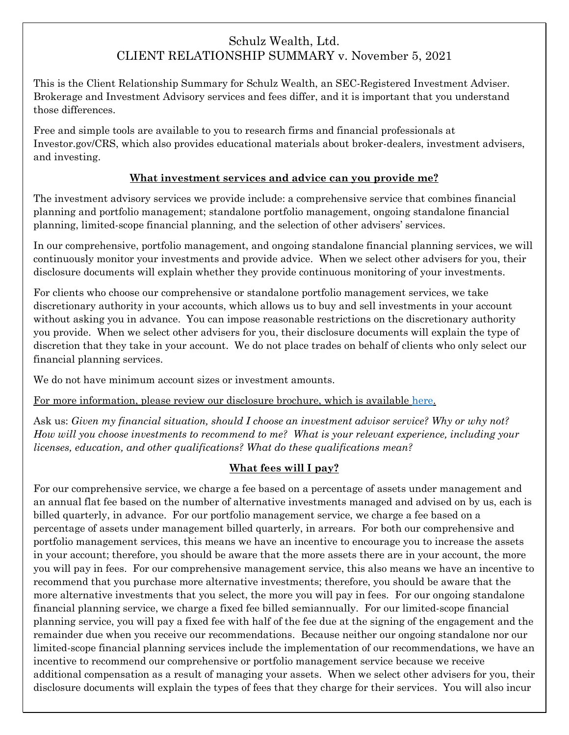# Schulz Wealth, Ltd. CLIENT RELATIONSHIP SUMMARY v. November 5, 2021

This is the Client Relationship Summary for Schulz Wealth, an SEC-Registered Investment Adviser. Brokerage and Investment Advisory services and fees differ, and it is important that you understand those differences.

Free and simple tools are available to you to research firms and financial professionals at Investor.gov/CRS, which also provides educational materials about broker-dealers, investment advisers, and investing.

#### **What investment services and advice can you provide me?**

The investment advisory services we provide include: a comprehensive service that combines financial planning and portfolio management; standalone portfolio management, ongoing standalone financial planning, limited-scope financial planning, and the selection of other advisers' services.

In our comprehensive, portfolio management, and ongoing standalone financial planning services, we will continuously monitor your investments and provide advice. When we select other advisers for you, their disclosure documents will explain whether they provide continuous monitoring of your investments.

For clients who choose our comprehensive or standalone portfolio management services, we take discretionary authority in your accounts, which allows us to buy and sell investments in your account without asking you in advance. You can impose reasonable restrictions on the discretionary authority you provide. When we select other advisers for you, their disclosure documents will explain the type of discretion that they take in your account. We do not place trades on behalf of clients who only select our financial planning services.

We do not have minimum account sizes or investment amounts.

For more information, please review our disclosure brochure, which is available [here.](https://adviserinfo.sec.gov/firm/summary/172194)

Ask us: *Given my financial situation, should I choose an investment advisor service? Why or why not? How will you choose investments to recommend to me? What is your relevant experience, including your licenses, education, and other qualifications? What do these qualifications mean?*

#### **What fees will I pay?**

For our comprehensive service, we charge a fee based on a percentage of assets under management and an annual flat fee based on the number of alternative investments managed and advised on by us, each is billed quarterly, in advance. For our portfolio management service, we charge a fee based on a percentage of assets under management billed quarterly, in arrears. For both our comprehensive and portfolio management services, this means we have an incentive to encourage you to increase the assets in your account; therefore, you should be aware that the more assets there are in your account, the more you will pay in fees. For our comprehensive management service, this also means we have an incentive to recommend that you purchase more alternative investments; therefore, you should be aware that the more alternative investments that you select, the more you will pay in fees. For our ongoing standalone financial planning service, we charge a fixed fee billed semiannually. For our limited-scope financial planning service, you will pay a fixed fee with half of the fee due at the signing of the engagement and the remainder due when you receive our recommendations. Because neither our ongoing standalone nor our limited-scope financial planning services include the implementation of our recommendations, we have an incentive to recommend our comprehensive or portfolio management service because we receive additional compensation as a result of managing your assets. When we select other advisers for you, their disclosure documents will explain the types of fees that they charge for their services. You will also incur